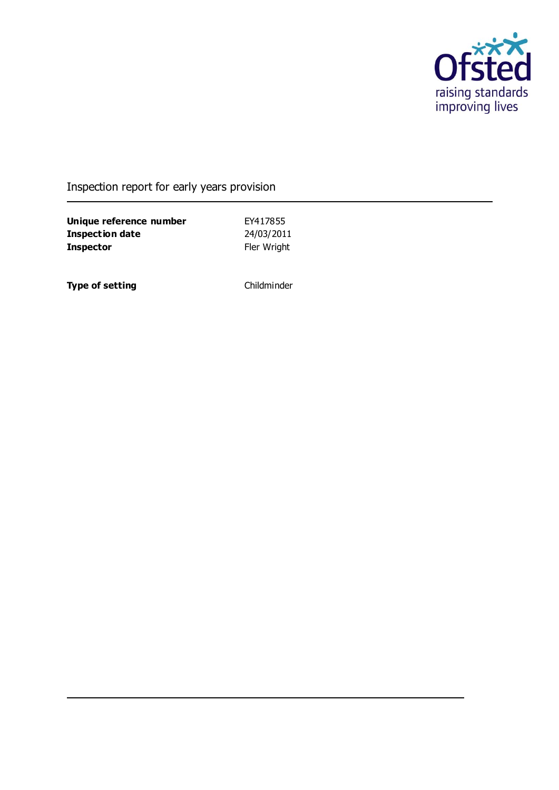

### Inspection report for early years provision

**Unique reference number** EY417855<br> **Inspection date** 24/03/2011 **Inspection date Inspector** Fler Wright

**Type of setting** Childminder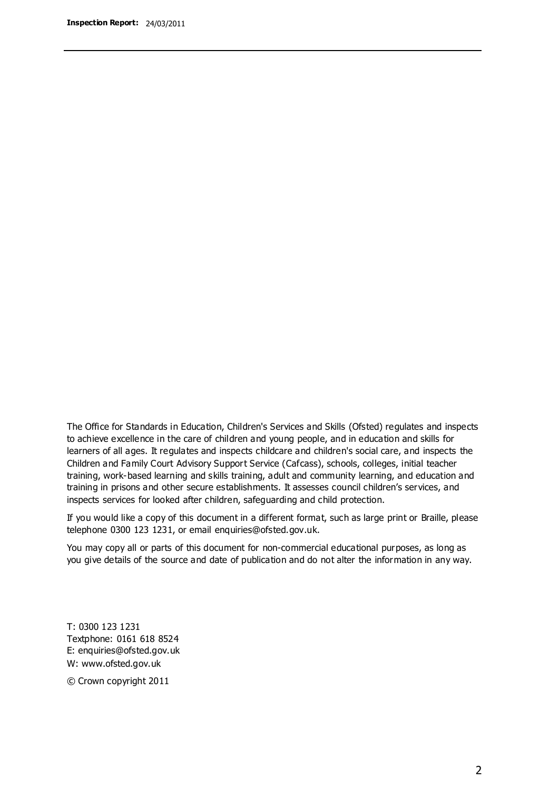The Office for Standards in Education, Children's Services and Skills (Ofsted) regulates and inspects to achieve excellence in the care of children and young people, and in education and skills for learners of all ages. It regulates and inspects childcare and children's social care, and inspects the Children and Family Court Advisory Support Service (Cafcass), schools, colleges, initial teacher training, work-based learning and skills training, adult and community learning, and education and training in prisons and other secure establishments. It assesses council children's services, and inspects services for looked after children, safeguarding and child protection.

If you would like a copy of this document in a different format, such as large print or Braille, please telephone 0300 123 1231, or email enquiries@ofsted.gov.uk.

You may copy all or parts of this document for non-commercial educational purposes, as long as you give details of the source and date of publication and do not alter the information in any way.

T: 0300 123 1231 Textphone: 0161 618 8524 E: enquiries@ofsted.gov.uk W: [www.ofsted.gov.uk](http://www.ofsted.gov.uk/)

© Crown copyright 2011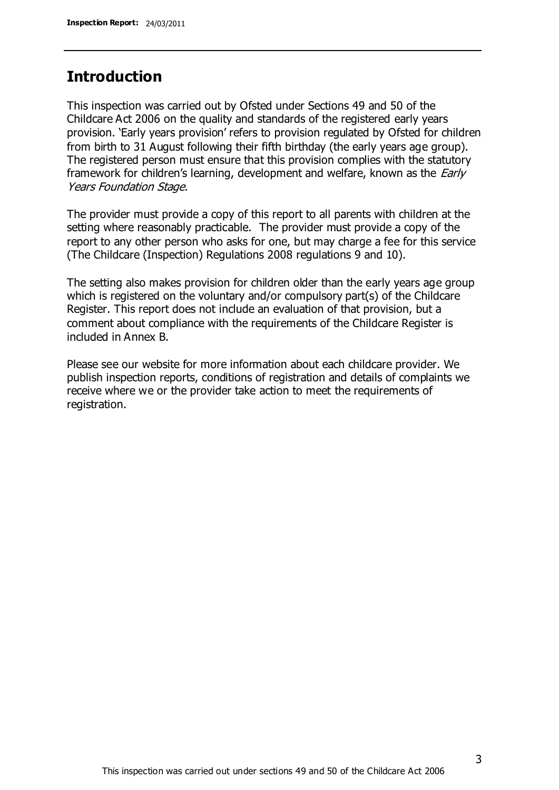### **Introduction**

This inspection was carried out by Ofsted under Sections 49 and 50 of the Childcare Act 2006 on the quality and standards of the registered early years provision. 'Early years provision' refers to provision regulated by Ofsted for children from birth to 31 August following their fifth birthday (the early years age group). The registered person must ensure that this provision complies with the statutory framework for children's learning, development and welfare, known as the *Early* Years Foundation Stage.

The provider must provide a copy of this report to all parents with children at the setting where reasonably practicable. The provider must provide a copy of the report to any other person who asks for one, but may charge a fee for this service (The Childcare (Inspection) Regulations 2008 regulations 9 and 10).

The setting also makes provision for children older than the early years age group which is registered on the voluntary and/or compulsory part(s) of the Childcare Register. This report does not include an evaluation of that provision, but a comment about compliance with the requirements of the Childcare Register is included in Annex B.

Please see our website for more information about each childcare provider. We publish inspection reports, conditions of registration and details of complaints we receive where we or the provider take action to meet the requirements of registration.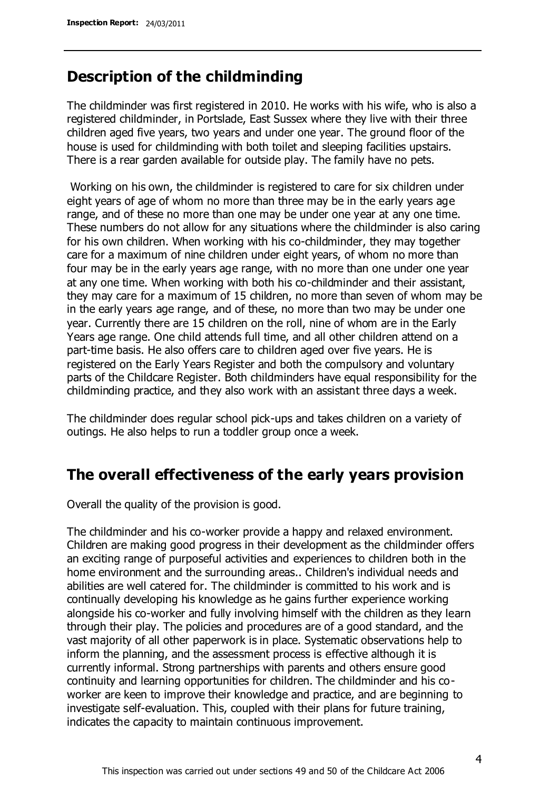### **Description of the childminding**

The childminder was first registered in 2010. He works with his wife, who is also a registered childminder, in Portslade, East Sussex where they live with their three children aged five years, two years and under one year. The ground floor of the house is used for childminding with both toilet and sleeping facilities upstairs. There is a rear garden available for outside play. The family have no pets.

Working on his own, the childminder is registered to care for six children under eight years of age of whom no more than three may be in the early years age range, and of these no more than one may be under one year at any one time. These numbers do not allow for any situations where the childminder is also caring for his own children. When working with his co-childminder, they may together care for a maximum of nine children under eight years, of whom no more than four may be in the early years age range, with no more than one under one year at any one time. When working with both his co-childminder and their assistant, they may care for a maximum of 15 children, no more than seven of whom may be in the early years age range, and of these, no more than two may be under one year. Currently there are 15 children on the roll, nine of whom are in the Early Years age range. One child attends full time, and all other children attend on a part-time basis. He also offers care to children aged over five years. He is registered on the Early Years Register and both the compulsory and voluntary parts of the Childcare Register. Both childminders have equal responsibility for the childminding practice, and they also work with an assistant three days a week.

The childminder does regular school pick-ups and takes children on a variety of outings. He also helps to run a toddler group once a week.

### **The overall effectiveness of the early years provision**

Overall the quality of the provision is good.

The childminder and his co-worker provide a happy and relaxed environment. Children are making good progress in their development as the childminder offers an exciting range of purposeful activities and experiences to children both in the home environment and the surrounding areas.. Children's individual needs and abilities are well catered for. The childminder is committed to his work and is continually developing his knowledge as he gains further experience working alongside his co-worker and fully involving himself with the children as they learn through their play. The policies and procedures are of a good standard, and the vast majority of all other paperwork is in place. Systematic observations help to inform the planning, and the assessment process is effective although it is currently informal. Strong partnerships with parents and others ensure good continuity and learning opportunities for children. The childminder and his coworker are keen to improve their knowledge and practice, and are beginning to investigate self-evaluation. This, coupled with their plans for future training, indicates the capacity to maintain continuous improvement.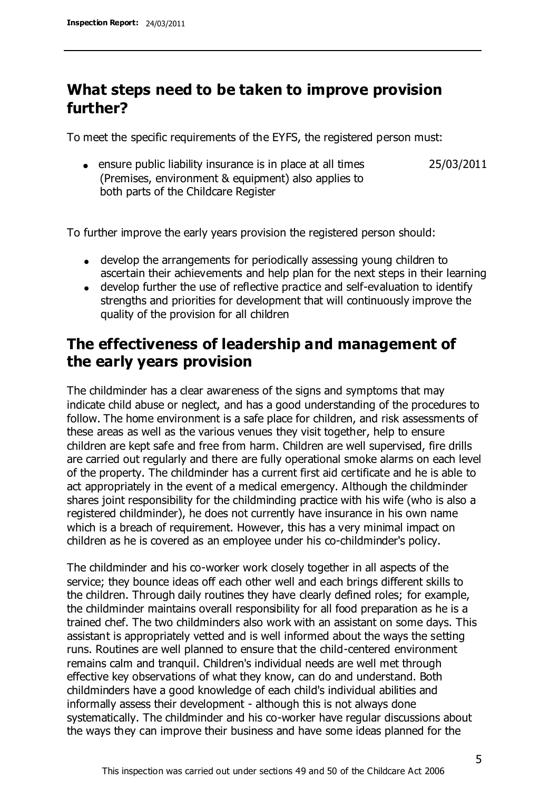# **What steps need to be taken to improve provision further?**

To meet the specific requirements of the EYFS, the registered person must:

ensure public liability insurance is in place at all times (Premises, environment & equipment) also applies to both parts of the Childcare Register 25/03/2011

To further improve the early years provision the registered person should:

- develop the arrangements for periodically assessing young children to ascertain their achievements and help plan for the next steps in their learning
- develop further the use of reflective practice and self-evaluation to identify strengths and priorities for development that will continuously improve the quality of the provision for all children

# **The effectiveness of leadership and management of the early years provision**

The childminder has a clear awareness of the signs and symptoms that may indicate child abuse or neglect, and has a good understanding of the procedures to follow. The home environment is a safe place for children, and risk assessments of these areas as well as the various venues they visit together, help to ensure children are kept safe and free from harm. Children are well supervised, fire drills are carried out regularly and there are fully operational smoke alarms on each level of the property. The childminder has a current first aid certificate and he is able to act appropriately in the event of a medical emergency. Although the childminder shares joint responsibility for the childminding practice with his wife (who is also a registered childminder), he does not currently have insurance in his own name which is a breach of requirement. However, this has a very minimal impact on children as he is covered as an employee under his co-childminder's policy.

The childminder and his co-worker work closely together in all aspects of the service; they bounce ideas off each other well and each brings different skills to the children. Through daily routines they have clearly defined roles; for example, the childminder maintains overall responsibility for all food preparation as he is a trained chef. The two childminders also work with an assistant on some days. This assistant is appropriately vetted and is well informed about the ways the setting runs. Routines are well planned to ensure that the child-centered environment remains calm and tranquil. Children's individual needs are well met through effective key observations of what they know, can do and understand. Both childminders have a good knowledge of each child's individual abilities and informally assess their development - although this is not always done systematically. The childminder and his co-worker have regular discussions about the ways they can improve their business and have some ideas planned for the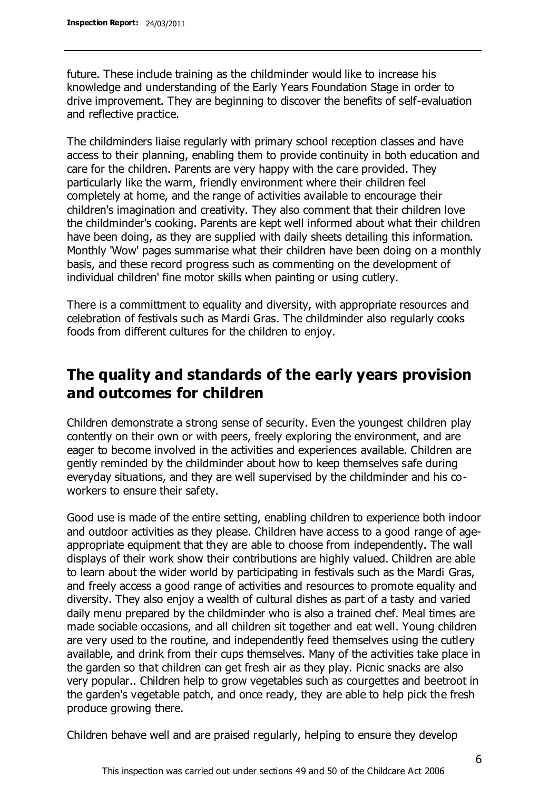future. These include training as the childminder would like to increase his knowledge and understanding of the Early Years Foundation Stage in order to drive improvement. They are beginning to discover the benefits of self-evaluation and reflective practice.

The childminders liaise regularly with primary school reception classes and have access to their planning, enabling them to provide continuity in both education and care for the children. Parents are very happy with the care provided. They particularly like the warm, friendly environment where their children feel completely at home, and the range of activities available to encourage their children's imagination and creativity. They also comment that their children love the childminder's cooking. Parents are kept well informed about what their children have been doing, as they are supplied with daily sheets detailing this information. Monthly 'Wow' pages summarise what their children have been doing on a monthly basis, and these record progress such as commenting on the development of individual children' fine motor skills when painting or using cutlery.

There is a committment to equality and diversity, with appropriate resources and celebration of festivals such as Mardi Gras. The childminder also regularly cooks foods from different cultures for the children to enjoy.

# **The quality and standards of the early years provision and outcomes for children**

Children demonstrate a strong sense of security. Even the youngest children play contently on their own or with peers, freely exploring the environment, and are eager to become involved in the activities and experiences available. Children are gently reminded by the childminder about how to keep themselves safe during everyday situations, and they are well supervised by the childminder and his coworkers to ensure their safety.

Good use is made of the entire setting, enabling children to experience both indoor and outdoor activities as they please. Children have access to a good range of ageappropriate equipment that they are able to choose from independently. The wall displays of their work show their contributions are highly valued. Children are able to learn about the wider world by participating in festivals such as the Mardi Gras, and freely access a good range of activities and resources to promote equality and diversity. They also enjoy a wealth of cultural dishes as part of a tasty and varied daily menu prepared by the childminder who is also a trained chef. Meal times are made sociable occasions, and all children sit together and eat well. Young children are very used to the routine, and independently feed themselves using the cutlery available, and drink from their cups themselves. Many of the activities take place in the garden so that children can get fresh air as they play. Picnic snacks are also very popular.. Children help to grow vegetables such as courgettes and beetroot in the garden's vegetable patch, and once ready, they are able to help pick the fresh produce growing there.

Children behave well and are praised regularly, helping to ensure they develop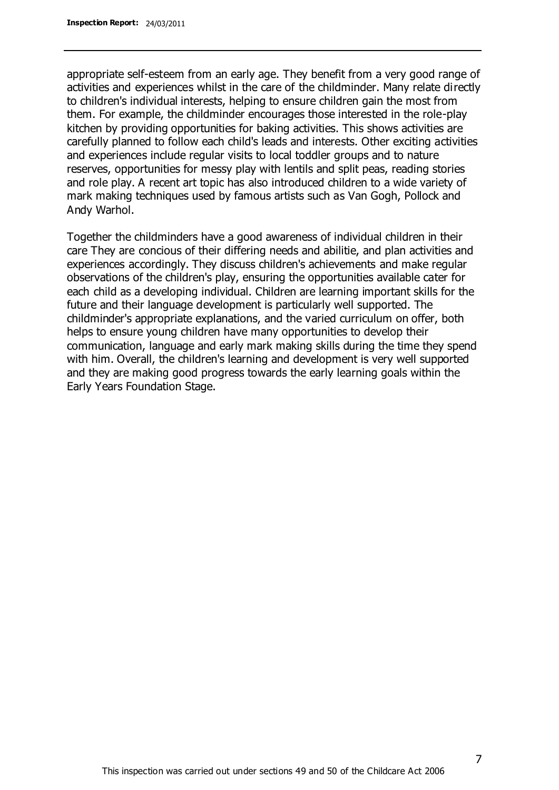appropriate self-esteem from an early age. They benefit from a very good range of activities and experiences whilst in the care of the childminder. Many relate directly to children's individual interests, helping to ensure children gain the most from them. For example, the childminder encourages those interested in the role-play kitchen by providing opportunities for baking activities. This shows activities are carefully planned to follow each child's leads and interests. Other exciting activities and experiences include regular visits to local toddler groups and to nature reserves, opportunities for messy play with lentils and split peas, reading stories and role play. A recent art topic has also introduced children to a wide variety of mark making techniques used by famous artists such as Van Gogh, Pollock and Andy Warhol.

Together the childminders have a good awareness of individual children in their care They are concious of their differing needs and abilitie, and plan activities and experiences accordingly. They discuss children's achievements and make regular observations of the children's play, ensuring the opportunities available cater for each child as a developing individual. Children are learning important skills for the future and their language development is particularly well supported. The childminder's appropriate explanations, and the varied curriculum on offer, both helps to ensure young children have many opportunities to develop their communication, language and early mark making skills during the time they spend with him. Overall, the children's learning and development is very well supported and they are making good progress towards the early learning goals within the Early Years Foundation Stage.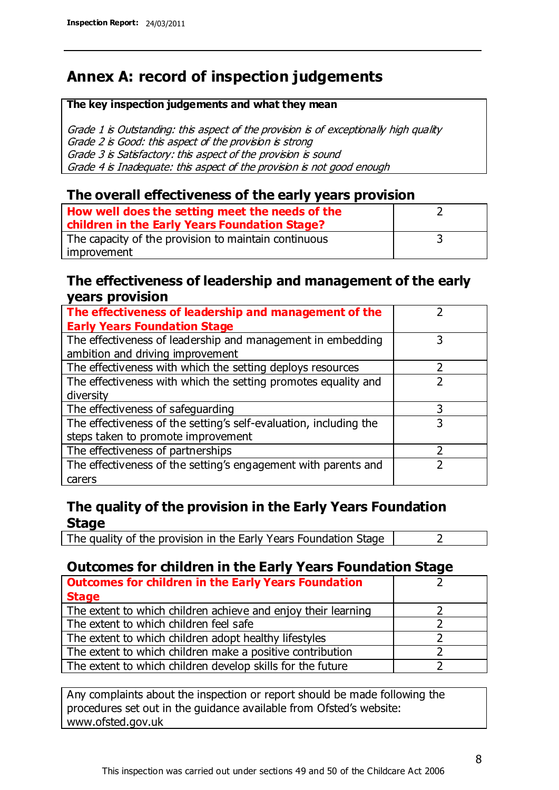# **Annex A: record of inspection judgements**

#### **The key inspection judgements and what they mean**

Grade 1 is Outstanding: this aspect of the provision is of exceptionally high quality Grade 2 is Good: this aspect of the provision is strong Grade 3 is Satisfactory: this aspect of the provision is sound Grade 4 is Inadequate: this aspect of the provision is not good enough

#### **The overall effectiveness of the early years provision**

| How well does the setting meet the needs of the      |  |
|------------------------------------------------------|--|
| children in the Early Years Foundation Stage?        |  |
| The capacity of the provision to maintain continuous |  |
| improvement                                          |  |

#### **The effectiveness of leadership and management of the early years provision**

| The effectiveness of leadership and management of the             |   |
|-------------------------------------------------------------------|---|
| <b>Early Years Foundation Stage</b>                               |   |
| The effectiveness of leadership and management in embedding       | 3 |
| ambition and driving improvement                                  |   |
| The effectiveness with which the setting deploys resources        |   |
| The effectiveness with which the setting promotes equality and    |   |
| diversity                                                         |   |
| The effectiveness of safeguarding                                 |   |
| The effectiveness of the setting's self-evaluation, including the | 3 |
| steps taken to promote improvement                                |   |
| The effectiveness of partnerships                                 |   |
| The effectiveness of the setting's engagement with parents and    |   |
| carers                                                            |   |

#### **The quality of the provision in the Early Years Foundation Stage**

The quality of the provision in the Early Years Foundation Stage  $\vert$  2

#### **Outcomes for children in the Early Years Foundation Stage**

| <b>Outcomes for children in the Early Years Foundation</b>    |  |
|---------------------------------------------------------------|--|
| <b>Stage</b>                                                  |  |
| The extent to which children achieve and enjoy their learning |  |
| The extent to which children feel safe                        |  |
| The extent to which children adopt healthy lifestyles         |  |
| The extent to which children make a positive contribution     |  |
| The extent to which children develop skills for the future    |  |

Any complaints about the inspection or report should be made following the procedures set out in the guidance available from Ofsted's website: www.ofsted.gov.uk